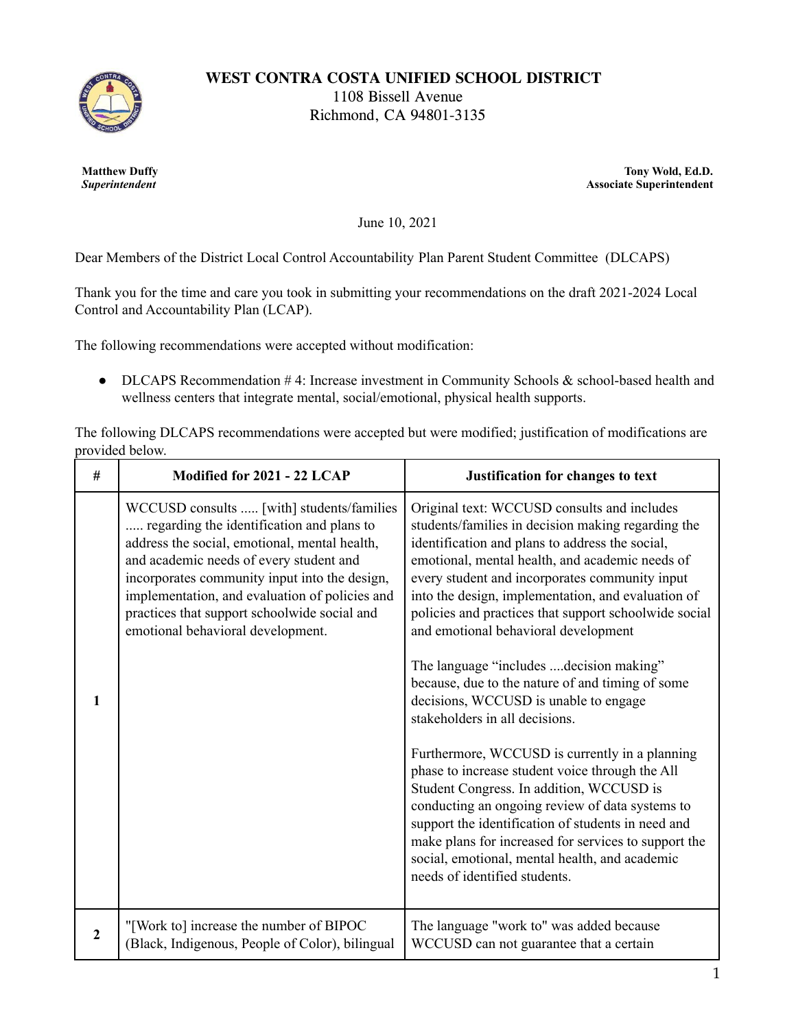

**WEST CONTRA COSTA UNIFIED SCHOOL DISTRICT**

1108 Bissell Avenue Richmond, CA 94801-3135

**Matthew Duffy** *Superintendent*

**Tony Wold, Ed.D. Associate Superintendent**

June 10, 2021

Dear Members of the District Local Control Accountability Plan Parent Student Committee (DLCAPS)

Thank you for the time and care you took in submitting your recommendations on the draft 2021-2024 Local Control and Accountability Plan (LCAP).

The following recommendations were accepted without modification:

• DLCAPS Recommendation  $#4$ : Increase investment in Community Schools & school-based health and wellness centers that integrate mental, social/emotional, physical health supports.

The following DLCAPS recommendations were accepted but were modified; justification of modifications are provided below.

| #                | Modified for 2021 - 22 LCAP                                                                                                                                                                                                                                                                                                                                                | Justification for changes to text                                                                                                                                                                                                                                                                                                                                                                                                                                                                                                                                                                                                                                                                                                                                                                                                                                                                                                                                                                |
|------------------|----------------------------------------------------------------------------------------------------------------------------------------------------------------------------------------------------------------------------------------------------------------------------------------------------------------------------------------------------------------------------|--------------------------------------------------------------------------------------------------------------------------------------------------------------------------------------------------------------------------------------------------------------------------------------------------------------------------------------------------------------------------------------------------------------------------------------------------------------------------------------------------------------------------------------------------------------------------------------------------------------------------------------------------------------------------------------------------------------------------------------------------------------------------------------------------------------------------------------------------------------------------------------------------------------------------------------------------------------------------------------------------|
| 1                | WCCUSD consults  [with] students/families<br>regarding the identification and plans to<br>address the social, emotional, mental health,<br>and academic needs of every student and<br>incorporates community input into the design,<br>implementation, and evaluation of policies and<br>practices that support schoolwide social and<br>emotional behavioral development. | Original text: WCCUSD consults and includes<br>students/families in decision making regarding the<br>identification and plans to address the social,<br>emotional, mental health, and academic needs of<br>every student and incorporates community input<br>into the design, implementation, and evaluation of<br>policies and practices that support schoolwide social<br>and emotional behavioral development<br>The language "includes  decision making"<br>because, due to the nature of and timing of some<br>decisions, WCCUSD is unable to engage<br>stakeholders in all decisions.<br>Furthermore, WCCUSD is currently in a planning<br>phase to increase student voice through the All<br>Student Congress. In addition, WCCUSD is<br>conducting an ongoing review of data systems to<br>support the identification of students in need and<br>make plans for increased for services to support the<br>social, emotional, mental health, and academic<br>needs of identified students. |
| $\boldsymbol{2}$ | "[Work to] increase the number of BIPOC<br>(Black, Indigenous, People of Color), bilingual                                                                                                                                                                                                                                                                                 | The language "work to" was added because<br>WCCUSD can not guarantee that a certain                                                                                                                                                                                                                                                                                                                                                                                                                                                                                                                                                                                                                                                                                                                                                                                                                                                                                                              |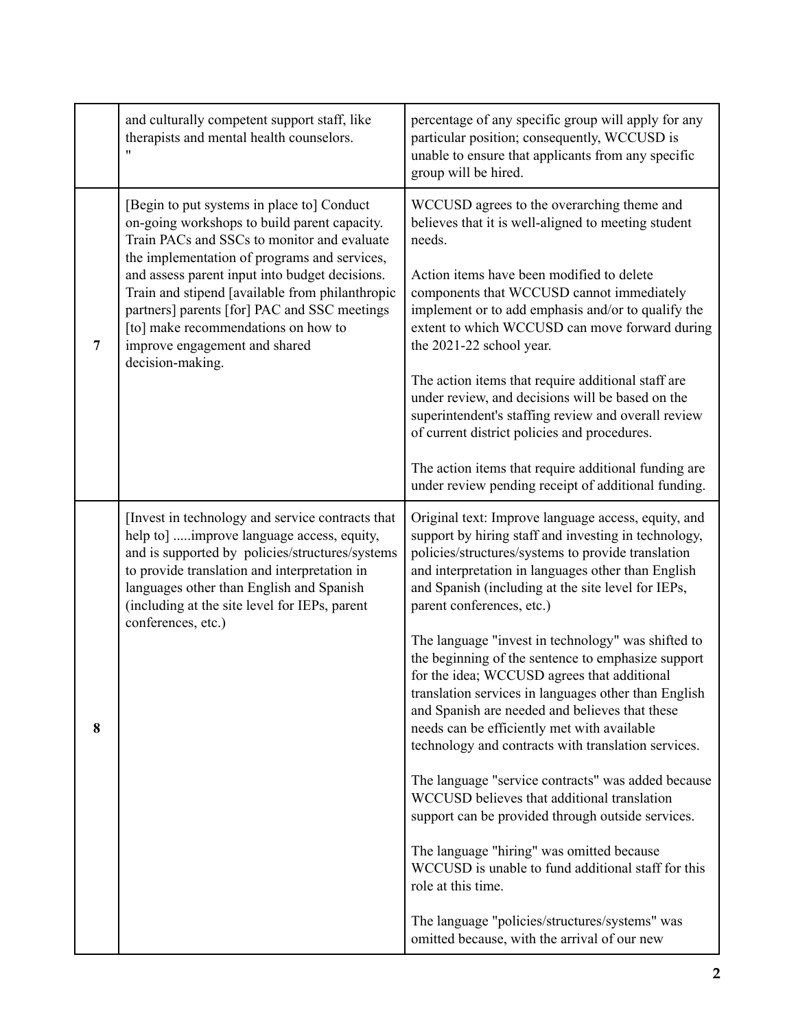|                | and culturally competent support staff, like<br>therapists and mental health counselors.<br>$^{\prime\prime}$                                                                                                                                                                                                                                                                                                                              | percentage of any specific group will apply for any<br>particular position; consequently, WCCUSD is<br>unable to ensure that applicants from any specific<br>group will be hired.                                                                                                                                                                                                                                                                                                                                                                                                                                                                                                                                                                                                                                                                                                                                                                                                                                                                                          |
|----------------|--------------------------------------------------------------------------------------------------------------------------------------------------------------------------------------------------------------------------------------------------------------------------------------------------------------------------------------------------------------------------------------------------------------------------------------------|----------------------------------------------------------------------------------------------------------------------------------------------------------------------------------------------------------------------------------------------------------------------------------------------------------------------------------------------------------------------------------------------------------------------------------------------------------------------------------------------------------------------------------------------------------------------------------------------------------------------------------------------------------------------------------------------------------------------------------------------------------------------------------------------------------------------------------------------------------------------------------------------------------------------------------------------------------------------------------------------------------------------------------------------------------------------------|
| $\overline{7}$ | [Begin to put systems in place to] Conduct<br>on-going workshops to build parent capacity.<br>Train PACs and SSCs to monitor and evaluate<br>the implementation of programs and services,<br>and assess parent input into budget decisions.<br>Train and stipend [available from philanthropic<br>partners] parents [for] PAC and SSC meetings<br>[to] make recommendations on how to<br>improve engagement and shared<br>decision-making. | WCCUSD agrees to the overarching theme and<br>believes that it is well-aligned to meeting student<br>needs.<br>Action items have been modified to delete<br>components that WCCUSD cannot immediately<br>implement or to add emphasis and/or to qualify the<br>extent to which WCCUSD can move forward during<br>the 2021-22 school year.<br>The action items that require additional staff are<br>under review, and decisions will be based on the<br>superintendent's staffing review and overall review<br>of current district policies and procedures.<br>The action items that require additional funding are<br>under review pending receipt of additional funding.                                                                                                                                                                                                                                                                                                                                                                                                  |
| 8              | [Invest in technology and service contracts that<br>help to] improve language access, equity,<br>and is supported by policies/structures/systems<br>to provide translation and interpretation in<br>languages other than English and Spanish<br>(including at the site level for IEPs, parent<br>conferences, etc.)                                                                                                                        | Original text: Improve language access, equity, and<br>support by hiring staff and investing in technology,<br>policies/structures/systems to provide translation<br>and interpretation in languages other than English<br>and Spanish (including at the site level for IEPs,<br>parent conferences, etc.)<br>The language "invest in technology" was shifted to<br>the beginning of the sentence to emphasize support<br>for the idea; WCCUSD agrees that additional<br>translation services in languages other than English<br>and Spanish are needed and believes that these<br>needs can be efficiently met with available<br>technology and contracts with translation services.<br>The language "service contracts" was added because<br>WCCUSD believes that additional translation<br>support can be provided through outside services.<br>The language "hiring" was omitted because<br>WCCUSD is unable to fund additional staff for this<br>role at this time.<br>The language "policies/structures/systems" was<br>omitted because, with the arrival of our new |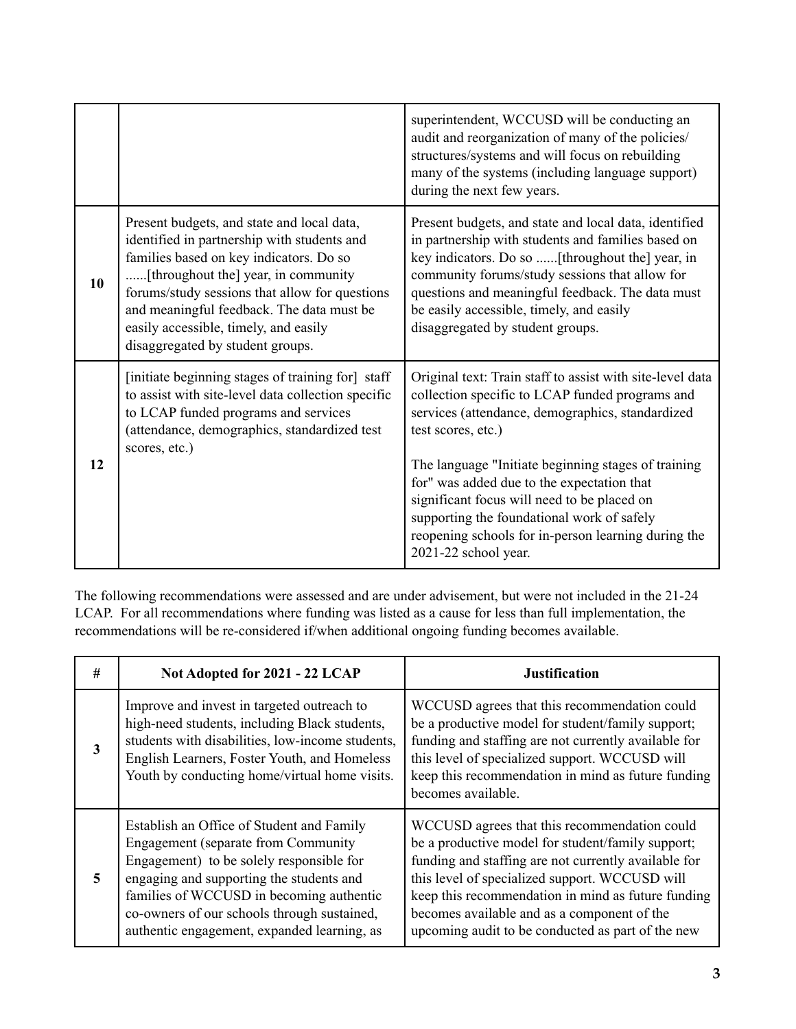|    |                                                                                                                                                                                                                                                                                                                  | superintendent, WCCUSD will be conducting an<br>audit and reorganization of many of the policies/<br>structures/systems and will focus on rebuilding<br>many of the systems (including language support)<br>during the next few years.                                                                                                                                                                                                                                  |
|----|------------------------------------------------------------------------------------------------------------------------------------------------------------------------------------------------------------------------------------------------------------------------------------------------------------------|-------------------------------------------------------------------------------------------------------------------------------------------------------------------------------------------------------------------------------------------------------------------------------------------------------------------------------------------------------------------------------------------------------------------------------------------------------------------------|
| 10 | Present budgets, and state and local data,<br>identified in partnership with students and<br>families based on key indicators. Do so<br>forums/study sessions that allow for questions<br>and meaningful feedback. The data must be<br>easily accessible, timely, and easily<br>disaggregated by student groups. | Present budgets, and state and local data, identified<br>in partnership with students and families based on<br>key indicators. Do so  [throughout the] year, in<br>community forums/study sessions that allow for<br>questions and meaningful feedback. The data must<br>be easily accessible, timely, and easily<br>disaggregated by student groups.                                                                                                                   |
| 12 | [initiate beginning stages of training for] staff<br>to assist with site-level data collection specific<br>to LCAP funded programs and services<br>(attendance, demographics, standardized test<br>scores, etc.)                                                                                                 | Original text: Train staff to assist with site-level data<br>collection specific to LCAP funded programs and<br>services (attendance, demographics, standardized<br>test scores, etc.)<br>The language "Initiate beginning stages of training<br>for" was added due to the expectation that<br>significant focus will need to be placed on<br>supporting the foundational work of safely<br>reopening schools for in-person learning during the<br>2021-22 school year. |

The following recommendations were assessed and are under advisement, but were not included in the 21-24 LCAP. For all recommendations where funding was listed as a cause for less than full implementation, the recommendations will be re-considered if/when additional ongoing funding becomes available.

| # | Not Adopted for 2021 - 22 LCAP                                                                                                                                                                                                                                                                                             | <b>Justification</b>                                                                                                                                                                                                                                                                                                                                                  |
|---|----------------------------------------------------------------------------------------------------------------------------------------------------------------------------------------------------------------------------------------------------------------------------------------------------------------------------|-----------------------------------------------------------------------------------------------------------------------------------------------------------------------------------------------------------------------------------------------------------------------------------------------------------------------------------------------------------------------|
| 3 | Improve and invest in targeted outreach to<br>high-need students, including Black students,<br>students with disabilities, low-income students,<br>English Learners, Foster Youth, and Homeless<br>Youth by conducting home/virtual home visits.                                                                           | WCCUSD agrees that this recommendation could<br>be a productive model for student/family support;<br>funding and staffing are not currently available for<br>this level of specialized support. WCCUSD will<br>keep this recommendation in mind as future funding<br>becomes available.                                                                               |
| 5 | Establish an Office of Student and Family<br><b>Engagement</b> (separate from Community)<br>Engagement) to be solely responsible for<br>engaging and supporting the students and<br>families of WCCUSD in becoming authentic<br>co-owners of our schools through sustained,<br>authentic engagement, expanded learning, as | WCCUSD agrees that this recommendation could<br>be a productive model for student/family support;<br>funding and staffing are not currently available for<br>this level of specialized support. WCCUSD will<br>keep this recommendation in mind as future funding<br>becomes available and as a component of the<br>upcoming audit to be conducted as part of the new |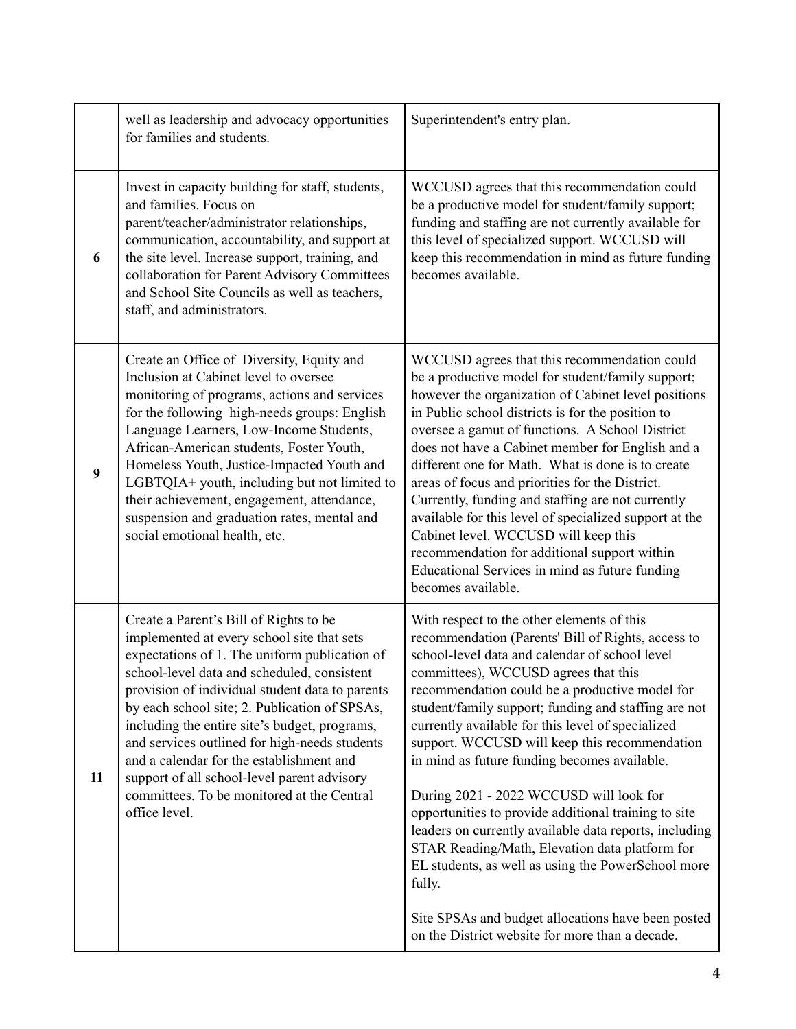|    | well as leadership and advocacy opportunities<br>for families and students.                                                                                                                                                                                                                                                                                                                                                                                                                                                                          | Superintendent's entry plan.                                                                                                                                                                                                                                                                                                                                                                                                                                                                                                                                                                                                                                                                                                                                                                                                                       |
|----|------------------------------------------------------------------------------------------------------------------------------------------------------------------------------------------------------------------------------------------------------------------------------------------------------------------------------------------------------------------------------------------------------------------------------------------------------------------------------------------------------------------------------------------------------|----------------------------------------------------------------------------------------------------------------------------------------------------------------------------------------------------------------------------------------------------------------------------------------------------------------------------------------------------------------------------------------------------------------------------------------------------------------------------------------------------------------------------------------------------------------------------------------------------------------------------------------------------------------------------------------------------------------------------------------------------------------------------------------------------------------------------------------------------|
| 6  | Invest in capacity building for staff, students,<br>and families. Focus on<br>parent/teacher/administrator relationships,<br>communication, accountability, and support at<br>the site level. Increase support, training, and<br>collaboration for Parent Advisory Committees<br>and School Site Councils as well as teachers,<br>staff, and administrators.                                                                                                                                                                                         | WCCUSD agrees that this recommendation could<br>be a productive model for student/family support;<br>funding and staffing are not currently available for<br>this level of specialized support. WCCUSD will<br>keep this recommendation in mind as future funding<br>becomes available.                                                                                                                                                                                                                                                                                                                                                                                                                                                                                                                                                            |
| 9  | Create an Office of Diversity, Equity and<br>Inclusion at Cabinet level to oversee<br>monitoring of programs, actions and services<br>for the following high-needs groups: English<br>Language Learners, Low-Income Students,<br>African-American students, Foster Youth,<br>Homeless Youth, Justice-Impacted Youth and<br>LGBTQIA+ youth, including but not limited to<br>their achievement, engagement, attendance,<br>suspension and graduation rates, mental and<br>social emotional health, etc.                                                | WCCUSD agrees that this recommendation could<br>be a productive model for student/family support;<br>however the organization of Cabinet level positions<br>in Public school districts is for the position to<br>oversee a gamut of functions. A School District<br>does not have a Cabinet member for English and a<br>different one for Math. What is done is to create<br>areas of focus and priorities for the District.<br>Currently, funding and staffing are not currently<br>available for this level of specialized support at the<br>Cabinet level. WCCUSD will keep this<br>recommendation for additional support within<br>Educational Services in mind as future funding<br>becomes available.                                                                                                                                        |
| 11 | Create a Parent's Bill of Rights to be<br>implemented at every school site that sets<br>expectations of 1. The uniform publication of<br>school-level data and scheduled, consistent<br>provision of individual student data to parents<br>by each school site; 2. Publication of SPSAs,<br>including the entire site's budget, programs,<br>and services outlined for high-needs students<br>and a calendar for the establishment and<br>support of all school-level parent advisory<br>committees. To be monitored at the Central<br>office level. | With respect to the other elements of this<br>recommendation (Parents' Bill of Rights, access to<br>school-level data and calendar of school level<br>committees), WCCUSD agrees that this<br>recommendation could be a productive model for<br>student/family support; funding and staffing are not<br>currently available for this level of specialized<br>support. WCCUSD will keep this recommendation<br>in mind as future funding becomes available.<br>During 2021 - 2022 WCCUSD will look for<br>opportunities to provide additional training to site<br>leaders on currently available data reports, including<br>STAR Reading/Math, Elevation data platform for<br>EL students, as well as using the PowerSchool more<br>fully.<br>Site SPSAs and budget allocations have been posted<br>on the District website for more than a decade. |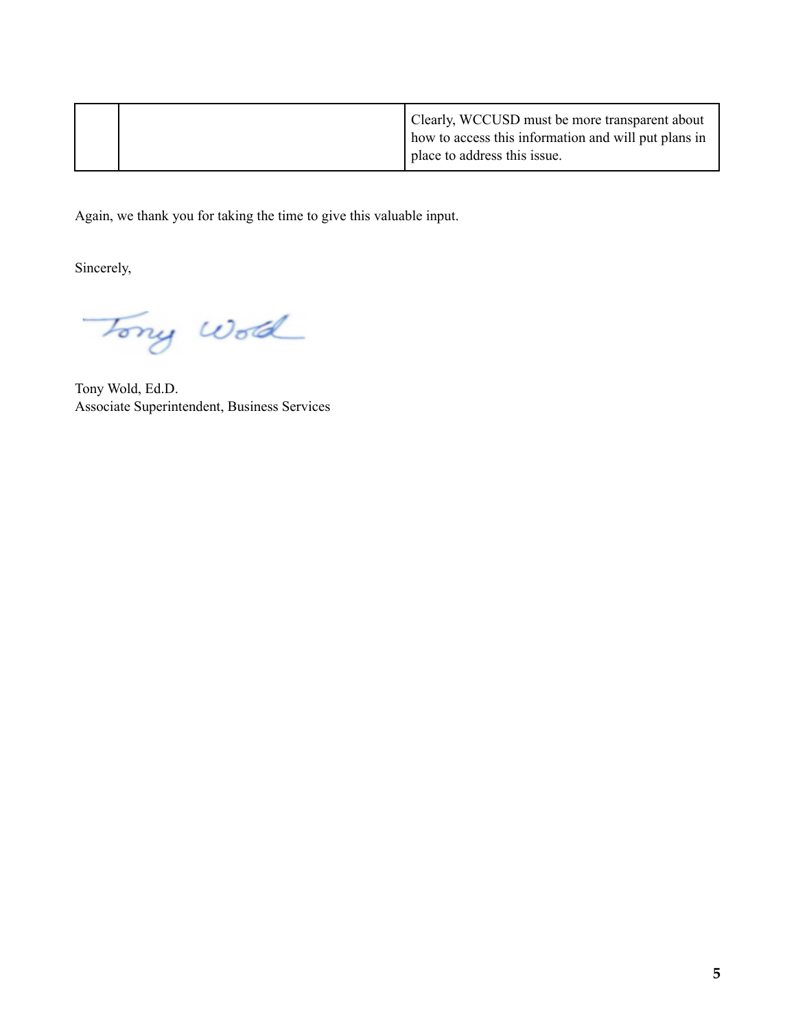|  | Clearly, WCCUSD must be more transparent about<br>how to access this information and will put plans in |
|--|--------------------------------------------------------------------------------------------------------|
|  | place to address this issue.                                                                           |

Again, we thank you for taking the time to give this valuable input.

Sincerely,

Tony World

Tony Wold, Ed.D. Associate Superintendent, Business Services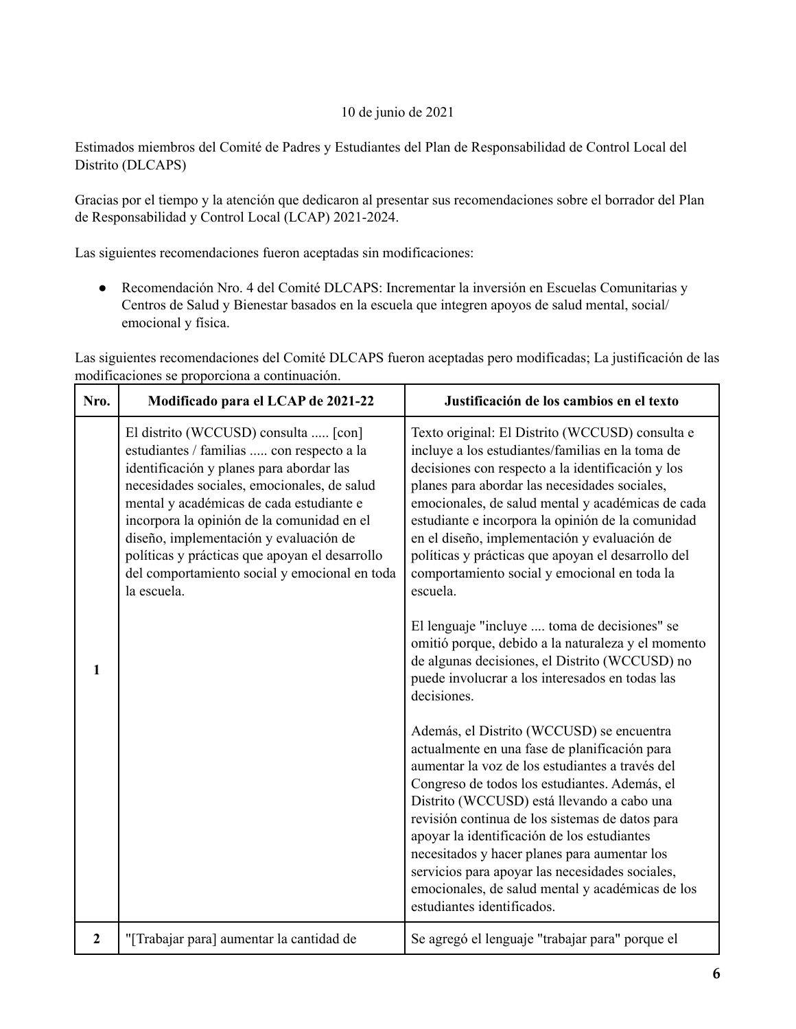## 10 de junio de 2021

Estimados miembros del Comité de Padres y Estudiantes del Plan de Responsabilidad de Control Local del Distrito (DLCAPS)

Gracias por el tiempo y la atención que dedicaron al presentar sus recomendaciones sobre el borrador del Plan de Responsabilidad y Control Local (LCAP) 2021-2024.

Las siguientes recomendaciones fueron aceptadas sin modificaciones:

● Recomendación Nro. 4 del Comité DLCAPS: Incrementar la inversión en Escuelas Comunitarias y Centros de Salud y Bienestar basados en la escuela que integren apoyos de salud mental, social/ emocional y física.

Las siguientes recomendaciones del Comité DLCAPS fueron aceptadas pero modificadas; La justificación de las modificaciones se proporciona a continuación.

| Nro.           | Modificado para el LCAP de 2021-22                                                                                                                                                                                                                                                                                                                                                                                                 | Justificación de los cambios en el texto                                                                                                                                                                                                                                                                                                                                                                                                                                                                                            |
|----------------|------------------------------------------------------------------------------------------------------------------------------------------------------------------------------------------------------------------------------------------------------------------------------------------------------------------------------------------------------------------------------------------------------------------------------------|-------------------------------------------------------------------------------------------------------------------------------------------------------------------------------------------------------------------------------------------------------------------------------------------------------------------------------------------------------------------------------------------------------------------------------------------------------------------------------------------------------------------------------------|
|                | El distrito (WCCUSD) consulta  [con]<br>estudiantes / familias  con respecto a la<br>identificación y planes para abordar las<br>necesidades sociales, emocionales, de salud<br>mental y académicas de cada estudiante e<br>incorpora la opinión de la comunidad en el<br>diseño, implementación y evaluación de<br>políticas y prácticas que apoyan el desarrollo<br>del comportamiento social y emocional en toda<br>la escuela. | Texto original: El Distrito (WCCUSD) consulta e<br>incluye a los estudiantes/familias en la toma de<br>decisiones con respecto a la identificación y los<br>planes para abordar las necesidades sociales,<br>emocionales, de salud mental y académicas de cada<br>estudiante e incorpora la opinión de la comunidad<br>en el diseño, implementación y evaluación de<br>políticas y prácticas que apoyan el desarrollo del<br>comportamiento social y emocional en toda la<br>escuela.                                               |
| 1              |                                                                                                                                                                                                                                                                                                                                                                                                                                    | El lenguaje "incluye  toma de decisiones" se<br>omitió porque, debido a la naturaleza y el momento<br>de algunas decisiones, el Distrito (WCCUSD) no<br>puede involucrar a los interesados en todas las<br>decisiones.                                                                                                                                                                                                                                                                                                              |
|                |                                                                                                                                                                                                                                                                                                                                                                                                                                    | Además, el Distrito (WCCUSD) se encuentra<br>actualmente en una fase de planificación para<br>aumentar la voz de los estudiantes a través del<br>Congreso de todos los estudiantes. Además, el<br>Distrito (WCCUSD) está llevando a cabo una<br>revisión continua de los sistemas de datos para<br>apoyar la identificación de los estudiantes<br>necesitados y hacer planes para aumentar los<br>servicios para apoyar las necesidades sociales,<br>emocionales, de salud mental y académicas de los<br>estudiantes identificados. |
| $\overline{2}$ | "[Trabajar para] aumentar la cantidad de                                                                                                                                                                                                                                                                                                                                                                                           | Se agregó el lenguaje "trabajar para" porque el                                                                                                                                                                                                                                                                                                                                                                                                                                                                                     |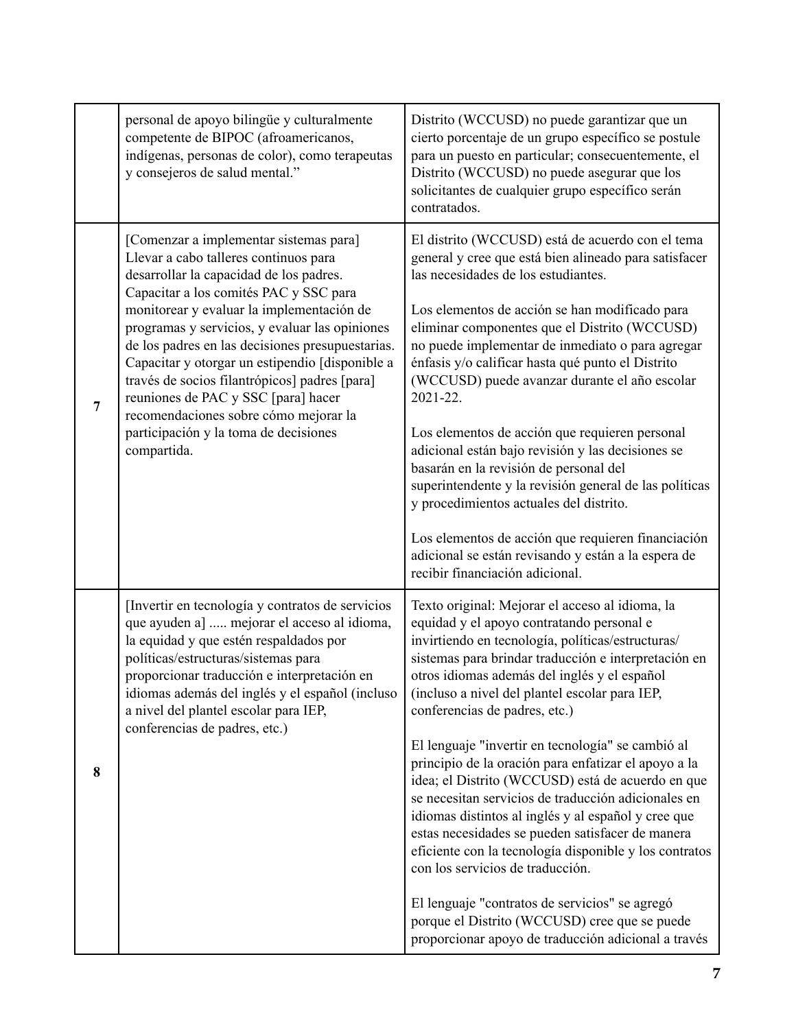|                | personal de apoyo bilingüe y culturalmente<br>competente de BIPOC (afroamericanos,<br>indígenas, personas de color), como terapeutas<br>y consejeros de salud mental."                                                                                                                                                                                                                                                                                                                                                                                              | Distrito (WCCUSD) no puede garantizar que un<br>cierto porcentaje de un grupo específico se postule<br>para un puesto en particular; consecuentemente, el<br>Distrito (WCCUSD) no puede asegurar que los<br>solicitantes de cualquier grupo específico serán<br>contratados.                                                                                                                                                                                                                                                                                                                                                                                                                                                                                                                 |
|----------------|---------------------------------------------------------------------------------------------------------------------------------------------------------------------------------------------------------------------------------------------------------------------------------------------------------------------------------------------------------------------------------------------------------------------------------------------------------------------------------------------------------------------------------------------------------------------|----------------------------------------------------------------------------------------------------------------------------------------------------------------------------------------------------------------------------------------------------------------------------------------------------------------------------------------------------------------------------------------------------------------------------------------------------------------------------------------------------------------------------------------------------------------------------------------------------------------------------------------------------------------------------------------------------------------------------------------------------------------------------------------------|
| $\overline{7}$ | [Comenzar a implementar sistemas para]<br>Llevar a cabo talleres continuos para<br>desarrollar la capacidad de los padres.<br>Capacitar a los comités PAC y SSC para<br>monitorear y evaluar la implementación de<br>programas y servicios, y evaluar las opiniones<br>de los padres en las decisiones presupuestarias.<br>Capacitar y otorgar un estipendio [disponible a<br>través de socios filantrópicos] padres [para]<br>reuniones de PAC y SSC [para] hacer<br>recomendaciones sobre cómo mejorar la<br>participación y la toma de decisiones<br>compartida. | El distrito (WCCUSD) está de acuerdo con el tema<br>general y cree que está bien alineado para satisfacer<br>las necesidades de los estudiantes.<br>Los elementos de acción se han modificado para<br>eliminar componentes que el Distrito (WCCUSD)<br>no puede implementar de inmediato o para agregar<br>énfasis y/o calificar hasta qué punto el Distrito<br>(WCCUSD) puede avanzar durante el año escolar<br>2021-22.<br>Los elementos de acción que requieren personal<br>adicional están bajo revisión y las decisiones se<br>basarán en la revisión de personal del<br>superintendente y la revisión general de las políticas<br>y procedimientos actuales del distrito.<br>Los elementos de acción que requieren financiación<br>adicional se están revisando y están a la espera de |
|                |                                                                                                                                                                                                                                                                                                                                                                                                                                                                                                                                                                     | recibir financiación adicional.                                                                                                                                                                                                                                                                                                                                                                                                                                                                                                                                                                                                                                                                                                                                                              |
|                | [Invertir en tecnología y contratos de servicios<br>que ayuden a]  mejorar el acceso al idioma,<br>la equidad y que estén respaldados por<br>políticas/estructuras/sistemas para<br>proporcionar traducción e interpretación en<br>idiomas además del inglés y el español (incluso<br>a nivel del plantel escolar para IEP,<br>conferencias de padres, etc.)                                                                                                                                                                                                        | Texto original: Mejorar el acceso al idioma, la<br>equidad y el apoyo contratando personal e<br>invirtiendo en tecnología, políticas/estructuras/<br>sistemas para brindar traducción e interpretación en<br>otros idiomas además del inglés y el español<br>(incluso a nivel del plantel escolar para IEP,<br>conferencias de padres, etc.)                                                                                                                                                                                                                                                                                                                                                                                                                                                 |
| 8              |                                                                                                                                                                                                                                                                                                                                                                                                                                                                                                                                                                     | El lenguaje "invertir en tecnología" se cambió al<br>principio de la oración para enfatizar el apoyo a la<br>idea; el Distrito (WCCUSD) está de acuerdo en que<br>se necesitan servicios de traducción adicionales en<br>idiomas distintos al inglés y al español y cree que<br>estas necesidades se pueden satisfacer de manera<br>eficiente con la tecnología disponible y los contratos<br>con los servicios de traducción.                                                                                                                                                                                                                                                                                                                                                               |
|                |                                                                                                                                                                                                                                                                                                                                                                                                                                                                                                                                                                     | El lenguaje "contratos de servicios" se agregó<br>porque el Distrito (WCCUSD) cree que se puede<br>proporcionar apoyo de traducción adicional a través                                                                                                                                                                                                                                                                                                                                                                                                                                                                                                                                                                                                                                       |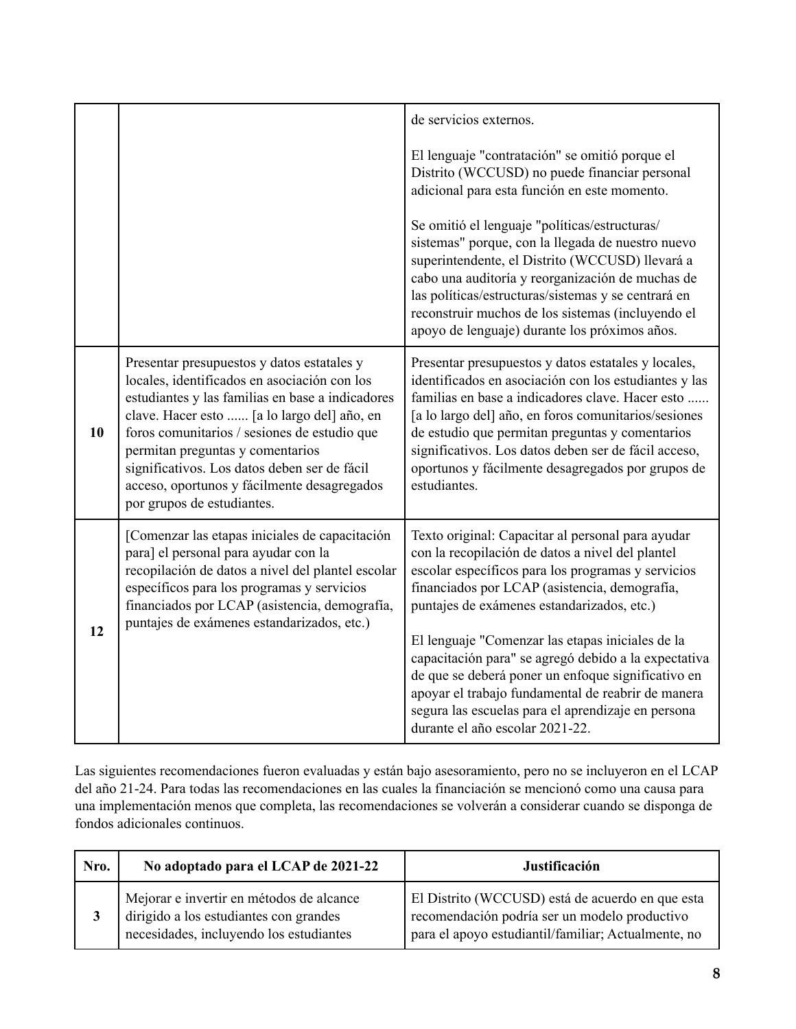|    |                                                                                                                                                                                                                                                                                                                                                                                                                | de servicios externos.                                                                                                                                                                                                                                                                                                                                                                                                                                                                                                                                                      |
|----|----------------------------------------------------------------------------------------------------------------------------------------------------------------------------------------------------------------------------------------------------------------------------------------------------------------------------------------------------------------------------------------------------------------|-----------------------------------------------------------------------------------------------------------------------------------------------------------------------------------------------------------------------------------------------------------------------------------------------------------------------------------------------------------------------------------------------------------------------------------------------------------------------------------------------------------------------------------------------------------------------------|
|    |                                                                                                                                                                                                                                                                                                                                                                                                                | El lenguaje "contratación" se omitió porque el<br>Distrito (WCCUSD) no puede financiar personal<br>adicional para esta función en este momento.                                                                                                                                                                                                                                                                                                                                                                                                                             |
|    |                                                                                                                                                                                                                                                                                                                                                                                                                | Se omitió el lenguaje "políticas/estructuras/<br>sistemas" porque, con la llegada de nuestro nuevo<br>superintendente, el Distrito (WCCUSD) llevará a<br>cabo una auditoría y reorganización de muchas de<br>las políticas/estructuras/sistemas y se centrará en<br>reconstruir muchos de los sistemas (incluyendo el<br>apoyo de lenguaje) durante los próximos años.                                                                                                                                                                                                      |
| 10 | Presentar presupuestos y datos estatales y<br>locales, identificados en asociación con los<br>estudiantes y las familias en base a indicadores<br>clave. Hacer esto  [a lo largo del] año, en<br>foros comunitarios / sesiones de estudio que<br>permitan preguntas y comentarios<br>significativos. Los datos deben ser de fácil<br>acceso, oportunos y fácilmente desagregados<br>por grupos de estudiantes. | Presentar presupuestos y datos estatales y locales,<br>identificados en asociación con los estudiantes y las<br>familias en base a indicadores clave. Hacer esto<br>[a lo largo del] año, en foros comunitarios/sesiones<br>de estudio que permitan preguntas y comentarios<br>significativos. Los datos deben ser de fácil acceso,<br>oportunos y fácilmente desagregados por grupos de<br>estudiantes.                                                                                                                                                                    |
| 12 | [Comenzar las etapas iniciales de capacitación<br>para] el personal para ayudar con la<br>recopilación de datos a nivel del plantel escolar<br>específicos para los programas y servicios<br>financiados por LCAP (asistencia, demografía,<br>puntajes de exámenes estandarizados, etc.)                                                                                                                       | Texto original: Capacitar al personal para ayudar<br>con la recopilación de datos a nivel del plantel<br>escolar específicos para los programas y servicios<br>financiados por LCAP (asistencia, demografía,<br>puntajes de exámenes estandarizados, etc.)<br>El lenguaje "Comenzar las etapas iniciales de la<br>capacitación para" se agregó debido a la expectativa<br>de que se deberá poner un enfoque significativo en<br>apoyar el trabajo fundamental de reabrir de manera<br>segura las escuelas para el aprendizaje en persona<br>durante el año escolar 2021-22. |

Las siguientes recomendaciones fueron evaluadas y están bajo asesoramiento, pero no se incluyeron en el LCAP del año 21-24. Para todas las recomendaciones en las cuales la financiación se mencionó como una causa para una implementación menos que completa, las recomendaciones se volverán a considerar cuando se disponga de fondos adicionales continuos.

| Nro. | No adoptado para el LCAP de 2021-22                                                                                           | Justificación                                                                                                                                            |
|------|-------------------------------------------------------------------------------------------------------------------------------|----------------------------------------------------------------------------------------------------------------------------------------------------------|
| 3    | Mejorar e invertir en métodos de alcance<br>dirigido a los estudiantes con grandes<br>necesidades, incluyendo los estudiantes | El Distrito (WCCUSD) está de acuerdo en que esta<br>recomendación podría ser un modelo productivo<br>para el apoyo estudiantil/familiar; Actualmente, no |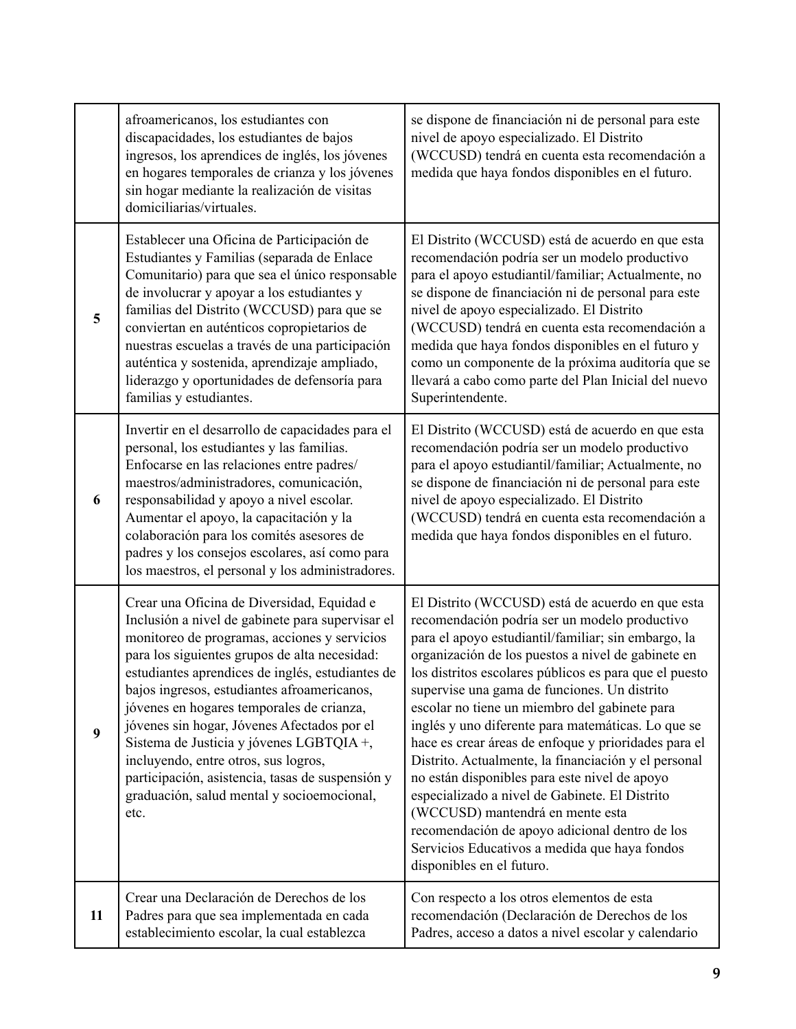|    | afroamericanos, los estudiantes con<br>discapacidades, los estudiantes de bajos<br>ingresos, los aprendices de inglés, los jóvenes<br>en hogares temporales de crianza y los jóvenes<br>sin hogar mediante la realización de visitas<br>domiciliarias/virtuales.                                                                                                                                                                                                                                                                                                                             | se dispone de financiación ni de personal para este<br>nivel de apoyo especializado. El Distrito<br>(WCCUSD) tendrá en cuenta esta recomendación a<br>medida que haya fondos disponibles en el futuro.                                                                                                                                                                                                                                                                                                                                                                                                                                                                                                                                                                                                                 |
|----|----------------------------------------------------------------------------------------------------------------------------------------------------------------------------------------------------------------------------------------------------------------------------------------------------------------------------------------------------------------------------------------------------------------------------------------------------------------------------------------------------------------------------------------------------------------------------------------------|------------------------------------------------------------------------------------------------------------------------------------------------------------------------------------------------------------------------------------------------------------------------------------------------------------------------------------------------------------------------------------------------------------------------------------------------------------------------------------------------------------------------------------------------------------------------------------------------------------------------------------------------------------------------------------------------------------------------------------------------------------------------------------------------------------------------|
| 5  | Establecer una Oficina de Participación de<br>Estudiantes y Familias (separada de Enlace<br>Comunitario) para que sea el único responsable<br>de involucrar y apoyar a los estudiantes y<br>familias del Distrito (WCCUSD) para que se<br>conviertan en auténticos copropietarios de<br>nuestras escuelas a través de una participación<br>auténtica y sostenida, aprendizaje ampliado,<br>liderazgo y oportunidades de defensoría para<br>familias y estudiantes.                                                                                                                           | El Distrito (WCCUSD) está de acuerdo en que esta<br>recomendación podría ser un modelo productivo<br>para el apoyo estudiantil/familiar; Actualmente, no<br>se dispone de financiación ni de personal para este<br>nivel de apoyo especializado. El Distrito<br>(WCCUSD) tendrá en cuenta esta recomendación a<br>medida que haya fondos disponibles en el futuro y<br>como un componente de la próxima auditoría que se<br>llevará a cabo como parte del Plan Inicial del nuevo<br>Superintendente.                                                                                                                                                                                                                                                                                                                   |
| 6  | Invertir en el desarrollo de capacidades para el<br>personal, los estudiantes y las familias.<br>Enfocarse en las relaciones entre padres/<br>maestros/administradores, comunicación,<br>responsabilidad y apoyo a nivel escolar.<br>Aumentar el apoyo, la capacitación y la<br>colaboración para los comités asesores de<br>padres y los consejos escolares, así como para<br>los maestros, el personal y los administradores.                                                                                                                                                              | El Distrito (WCCUSD) está de acuerdo en que esta<br>recomendación podría ser un modelo productivo<br>para el apoyo estudiantil/familiar; Actualmente, no<br>se dispone de financiación ni de personal para este<br>nivel de apoyo especializado. El Distrito<br>(WCCUSD) tendrá en cuenta esta recomendación a<br>medida que haya fondos disponibles en el futuro.                                                                                                                                                                                                                                                                                                                                                                                                                                                     |
| 9  | Crear una Oficina de Diversidad, Equidad e<br>Inclusión a nivel de gabinete para supervisar el<br>monitoreo de programas, acciones y servicios<br>para los siguientes grupos de alta necesidad:<br>estudiantes aprendices de inglés, estudiantes de<br>bajos ingresos, estudiantes afroamericanos,<br>jóvenes en hogares temporales de crianza,<br>jóvenes sin hogar, Jóvenes Afectados por el<br>Sistema de Justicia y jóvenes LGBTQIA +,<br>incluyendo, entre otros, sus logros,<br>participación, asistencia, tasas de suspensión y<br>graduación, salud mental y socioemocional,<br>etc. | El Distrito (WCCUSD) está de acuerdo en que esta<br>recomendación podría ser un modelo productivo<br>para el apoyo estudiantil/familiar; sin embargo, la<br>organización de los puestos a nivel de gabinete en<br>los distritos escolares públicos es para que el puesto<br>supervise una gama de funciones. Un distrito<br>escolar no tiene un miembro del gabinete para<br>inglés y uno diferente para matemáticas. Lo que se<br>hace es crear áreas de enfoque y prioridades para el<br>Distrito. Actualmente, la financiación y el personal<br>no están disponibles para este nivel de apoyo<br>especializado a nivel de Gabinete. El Distrito<br>(WCCUSD) mantendrá en mente esta<br>recomendación de apoyo adicional dentro de los<br>Servicios Educativos a medida que haya fondos<br>disponibles en el futuro. |
| 11 | Crear una Declaración de Derechos de los<br>Padres para que sea implementada en cada<br>establecimiento escolar, la cual establezca                                                                                                                                                                                                                                                                                                                                                                                                                                                          | Con respecto a los otros elementos de esta<br>recomendación (Declaración de Derechos de los<br>Padres, acceso a datos a nivel escolar y calendario                                                                                                                                                                                                                                                                                                                                                                                                                                                                                                                                                                                                                                                                     |